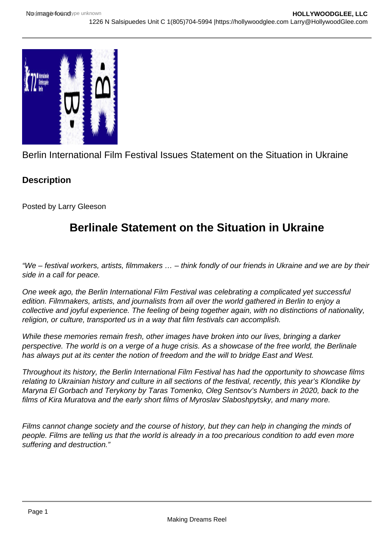

Berlin International Film Festival Issues Statement on the Situation in Ukraine

## **Description**

Posted by Larry Gleeson

## **Berlinale Statement on the Situation in Ukraine**

"We – festival workers, artists, filmmakers … – think fondly of our friends in Ukraine and we are by their side in a call for peace.

One week ago, the Berlin International Film Festival was celebrating a complicated yet successful edition. Filmmakers, artists, and journalists from all over the world gathered in Berlin to enjoy a collective and joyful experience. The feeling of being together again, with no distinctions of nationality, religion, or culture, transported us in a way that film festivals can accomplish.

While these memories remain fresh, other images have broken into our lives, bringing a darker perspective. The world is on a verge of a huge crisis. As a showcase of the free world, the Berlinale has always put at its center the notion of freedom and the will to bridge East and West.

Throughout its history, the Berlin International Film Festival has had the opportunity to showcase films relating to Ukrainian history and culture in all sections of the festival, recently, this year's Klondike by Maryna El Gorbach and Terykony by Taras Tomenko, Oleg Sentsov's Numbers in 2020, back to the films of Kira Muratova and the early short films of Myroslav Slaboshpytsky, and many more.

Films cannot change society and the course of history, but they can help in changing the minds of people. Films are telling us that the world is already in a too precarious condition to add even more suffering and destruction."